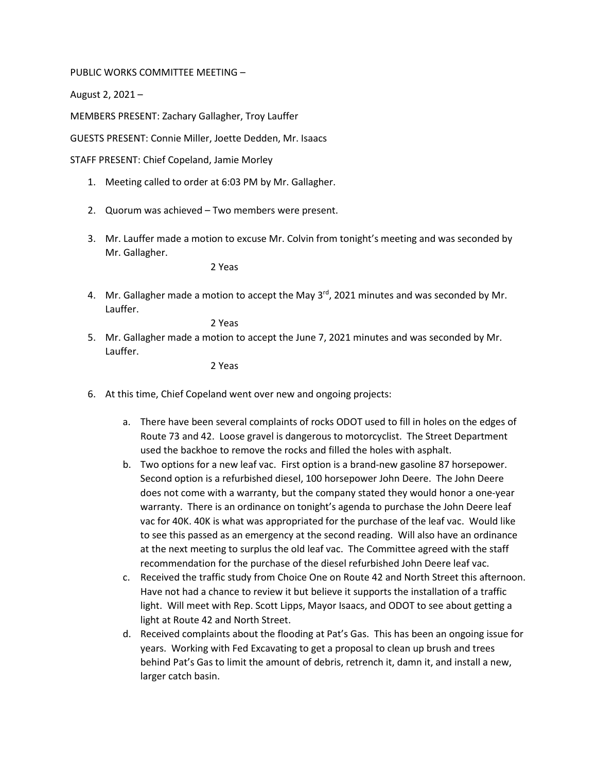## PUBLIC WORKS COMMITTEE MEETING –

August 2, 2021 –

MEMBERS PRESENT: Zachary Gallagher, Troy Lauffer

GUESTS PRESENT: Connie Miller, Joette Dedden, Mr. Isaacs

STAFF PRESENT: Chief Copeland, Jamie Morley

- 1. Meeting called to order at 6:03 PM by Mr. Gallagher.
- 2. Quorum was achieved Two members were present.
- 3. Mr. Lauffer made a motion to excuse Mr. Colvin from tonight's meeting and was seconded by Mr. Gallagher.

2 Yeas

4. Mr. Gallagher made a motion to accept the May  $3^{rd}$ , 2021 minutes and was seconded by Mr. Lauffer.

2 Yeas

5. Mr. Gallagher made a motion to accept the June 7, 2021 minutes and was seconded by Mr. Lauffer.

2 Yeas

- 6. At this time, Chief Copeland went over new and ongoing projects:
	- a. There have been several complaints of rocks ODOT used to fill in holes on the edges of Route 73 and 42. Loose gravel is dangerous to motorcyclist. The Street Department used the backhoe to remove the rocks and filled the holes with asphalt.
	- b. Two options for a new leaf vac. First option is a brand-new gasoline 87 horsepower. Second option is a refurbished diesel, 100 horsepower John Deere. The John Deere does not come with a warranty, but the company stated they would honor a one-year warranty. There is an ordinance on tonight's agenda to purchase the John Deere leaf vac for 40K. 40K is what was appropriated for the purchase of the leaf vac. Would like to see this passed as an emergency at the second reading. Will also have an ordinance at the next meeting to surplus the old leaf vac. The Committee agreed with the staff recommendation for the purchase of the diesel refurbished John Deere leaf vac.
	- c. Received the traffic study from Choice One on Route 42 and North Street this afternoon. Have not had a chance to review it but believe it supports the installation of a traffic light. Will meet with Rep. Scott Lipps, Mayor Isaacs, and ODOT to see about getting a light at Route 42 and North Street.
	- d. Received complaints about the flooding at Pat's Gas. This has been an ongoing issue for years. Working with Fed Excavating to get a proposal to clean up brush and trees behind Pat's Gas to limit the amount of debris, retrench it, damn it, and install a new, larger catch basin.